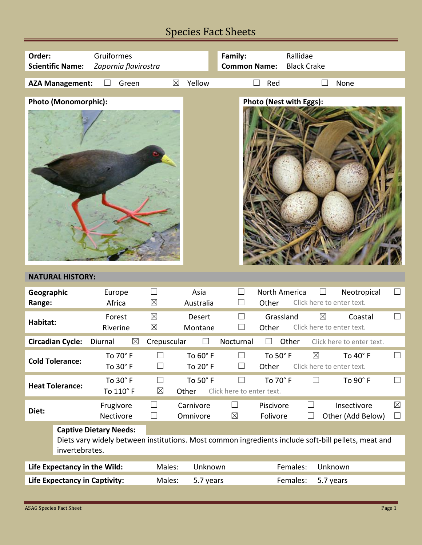# Species Fact Sheets

| Order:                                                                                                                                                 | Gruiformes              |                                |                             |                               | Rallidae<br>Family:                            |                             |                         |                                                     |                       |  |
|--------------------------------------------------------------------------------------------------------------------------------------------------------|-------------------------|--------------------------------|-----------------------------|-------------------------------|------------------------------------------------|-----------------------------|-------------------------|-----------------------------------------------------|-----------------------|--|
| Zapornia flavirostra<br><b>Scientific Name:</b>                                                                                                        |                         |                                |                             | <b>Common Name:</b>           |                                                | <b>Black Crake</b>          |                         |                                                     |                       |  |
|                                                                                                                                                        | <b>AZA Management:</b>  | Green                          | $\boxtimes$                 | Yellow                        |                                                | Red                         |                         | None                                                |                       |  |
|                                                                                                                                                        |                         |                                |                             |                               |                                                |                             |                         |                                                     |                       |  |
|                                                                                                                                                        | Photo (Monomorphic):    |                                |                             |                               |                                                |                             | Photo (Nest with Eggs): |                                                     |                       |  |
|                                                                                                                                                        | <b>NATURAL HISTORY:</b> |                                |                             |                               |                                                |                             |                         |                                                     |                       |  |
| Geographic<br>Range:                                                                                                                                   |                         | Europe<br>Africa               | $\Box$<br>$\boxtimes$       | Asia<br>Australia             | ⊔                                              | North America<br>Other      |                         | Neotropical<br>Click here to enter text.            | $\Box$                |  |
| Habitat:                                                                                                                                               |                         | Forest<br>Riverine             | $\boxtimes$<br>$\boxtimes$  | Desert<br>Montane             | $\Box$                                         | Grassland<br>Other          |                         | $\boxtimes$<br>Coastal<br>Click here to enter text. | $\Box$                |  |
|                                                                                                                                                        | <b>Circadian Cycle:</b> | $\boxtimes$<br>Diurnal         | Crepuscular                 |                               | Nocturnal                                      | $\Box$                      | Other                   | Click here to enter text.                           |                       |  |
|                                                                                                                                                        | <b>Cold Tolerance:</b>  | To 70 $^{\circ}$ F<br>To 30° F | $\Box$<br>$\vert \ \ \vert$ | To $60^{\circ}$ F<br>To 20° F | $\Box$<br>$\Box$                               | To 50 $^{\circ}$ F<br>Other | $\boxtimes$             | To 40° F<br>Click here to enter text.               | $\Box$                |  |
|                                                                                                                                                        | <b>Heat Tolerance:</b>  | To 30° F<br>To 110° F          | ⊔<br>$\boxtimes$            | To 50° F<br>Other             | $\vert \ \ \vert$<br>Click here to enter text. | To 70° F                    | $\Box$                  | To 90° F                                            | $\Box$                |  |
| Diet:                                                                                                                                                  |                         | Frugivore<br>Nectivore         | ⊔<br>$\Box$                 | Carnivore<br>Omnivore         | $\Box$<br>$\boxtimes$                          | Piscivore<br>Folivore       | ⊔<br>⊔                  | Insectivore<br>Other (Add Below)                    | $\boxtimes$<br>$\Box$ |  |
| <b>Captive Dietary Needs:</b><br>Diets vary widely between institutions. Most common ingredients include soft-bill pellets, meat and<br>invertebrates. |                         |                                |                             |                               |                                                |                             |                         |                                                     |                       |  |
| Life Expectancy in the Wild:                                                                                                                           |                         |                                | Males:<br>Unknown           |                               | Females:<br>Unknown                            |                             |                         |                                                     |                       |  |
| <b>Life Expectancy in Captivity:</b>                                                                                                                   |                         |                                | Males:<br>5.7 years         |                               | Females:<br>5.7 years                          |                             |                         |                                                     |                       |  |
|                                                                                                                                                        |                         |                                |                             |                               |                                                |                             |                         |                                                     |                       |  |

Г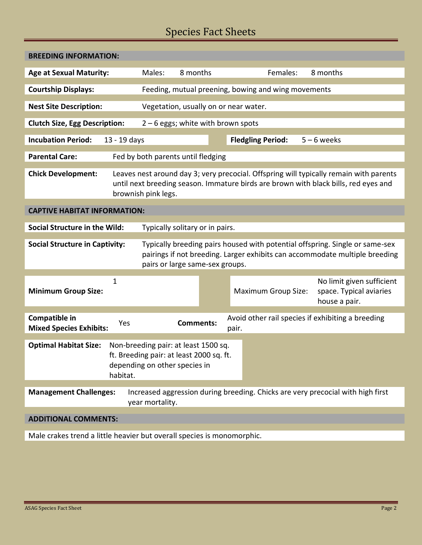# Species Fact Sheets

| <b>BREEDING INFORMATION:</b>                                                                                                                                                                                                            |        |                                                     |                            |                                                                       |  |  |  |  |  |
|-----------------------------------------------------------------------------------------------------------------------------------------------------------------------------------------------------------------------------------------|--------|-----------------------------------------------------|----------------------------|-----------------------------------------------------------------------|--|--|--|--|--|
| <b>Age at Sexual Maturity:</b>                                                                                                                                                                                                          | Males: | 8 months                                            | Females:                   | 8 months                                                              |  |  |  |  |  |
| <b>Courtship Displays:</b>                                                                                                                                                                                                              |        | Feeding, mutual preening, bowing and wing movements |                            |                                                                       |  |  |  |  |  |
| <b>Nest Site Description:</b>                                                                                                                                                                                                           |        | Vegetation, usually on or near water.               |                            |                                                                       |  |  |  |  |  |
|                                                                                                                                                                                                                                         |        |                                                     |                            |                                                                       |  |  |  |  |  |
| <b>Clutch Size, Egg Description:</b><br>$2 - 6$ eggs; white with brown spots                                                                                                                                                            |        |                                                     |                            |                                                                       |  |  |  |  |  |
| <b>Incubation Period:</b><br>13 - 19 days                                                                                                                                                                                               |        |                                                     | <b>Fledgling Period:</b>   | $5 - 6$ weeks                                                         |  |  |  |  |  |
| <b>Parental Care:</b><br>Fed by both parents until fledging                                                                                                                                                                             |        |                                                     |                            |                                                                       |  |  |  |  |  |
| <b>Chick Development:</b><br>Leaves nest around day 3; very precocial. Offspring will typically remain with parents<br>until next breeding season. Immature birds are brown with black bills, red eyes and<br>brownish pink legs.       |        |                                                     |                            |                                                                       |  |  |  |  |  |
| <b>CAPTIVE HABITAT INFORMATION:</b>                                                                                                                                                                                                     |        |                                                     |                            |                                                                       |  |  |  |  |  |
| <b>Social Structure in the Wild:</b><br>Typically solitary or in pairs.                                                                                                                                                                 |        |                                                     |                            |                                                                       |  |  |  |  |  |
| <b>Social Structure in Captivity:</b><br>Typically breeding pairs housed with potential offspring. Single or same-sex<br>pairings if not breeding. Larger exhibits can accommodate multiple breeding<br>pairs or large same-sex groups. |        |                                                     |                            |                                                                       |  |  |  |  |  |
| 1<br><b>Minimum Group Size:</b>                                                                                                                                                                                                         |        |                                                     | <b>Maximum Group Size:</b> | No limit given sufficient<br>space. Typical aviaries<br>house a pair. |  |  |  |  |  |
| Compatible in<br>Yes<br><b>Mixed Species Exhibits:</b>                                                                                                                                                                                  |        | <b>Comments:</b><br>pair.                           |                            | Avoid other rail species if exhibiting a breeding                     |  |  |  |  |  |
| <b>Optimal Habitat Size:</b><br>Non-breeding pair: at least 1500 sq.<br>ft. Breeding pair: at least 2000 sq. ft.<br>depending on other species in<br>habitat.                                                                           |        |                                                     |                            |                                                                       |  |  |  |  |  |
| Increased aggression during breeding. Chicks are very precocial with high first<br><b>Management Challenges:</b><br>year mortality.                                                                                                     |        |                                                     |                            |                                                                       |  |  |  |  |  |
| <b>ADDITIONAL COMMENTS:</b>                                                                                                                                                                                                             |        |                                                     |                            |                                                                       |  |  |  |  |  |
|                                                                                                                                                                                                                                         |        |                                                     |                            |                                                                       |  |  |  |  |  |

Male crakes trend a little heavier but overall species is monomorphic.